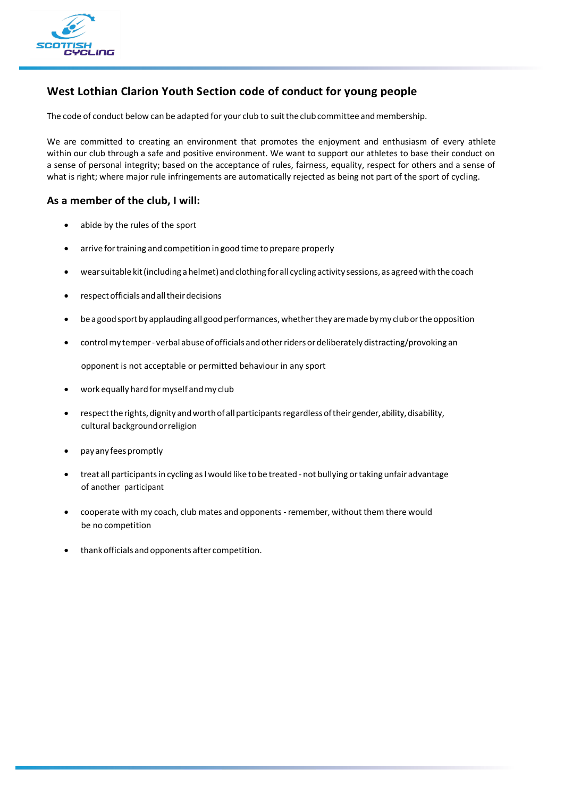

## **West Lothian Clarion Youth Section code of conduct for young people**

The code of conduct below can be adapted for your club to suit the club committee and membership.

We are committed to creating an environment that promotes the enjoyment and enthusiasm of every athlete within our club through a safe and positive environment. We want to support our athletes to base their conduct on a sense of personal integrity; based on the acceptance of rules, fairness, equality, respect for others and a sense of what is right; where major rule infringements are automatically rejected as being not part of the sport of cycling.

## **As a member of the club, I will:**

- abide by the rules of the sport
- arrive for training and competition in good time to prepare properly
- wear suitable kit (including a helmet) and clothing for all cycling activity sessions, as agreed with the coach
- respect officials and all their decisions
- be a good sport by applauding all good performances, whether they are made by my club or the opposition
- control my temper verbal abuse of officials and other riders or deliberately distracting/provoking an

opponent is not acceptable or permitted behaviour in any sport

- work equally hard formyself andmy club
- respect the rights, dignity and worth of all participants regardless of their gender, ability, disability, cultural backgroundorreligion
- payany feespromptly
- treat all participants in cycling as I would like to be treated not bullying or taking unfair advantage of another participant
- cooperate with my coach, club mates and opponents-remember, without them there would be no competition
- thankofficials andopponents after competition.